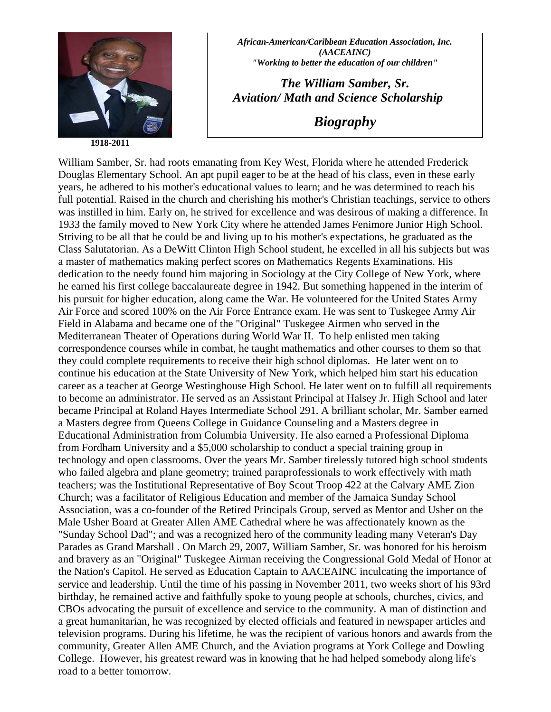

**1918-2011** 

*African-American/Caribbean Education Association, Inc. (AACEAINC) "Working to better the education of our children"* 

*The William Samber, Sr. Aviation/ Math and Science Scholarship* 

*Biography* 

William Samber, Sr. had roots emanating from Key West, Florida where he attended Frederick Douglas Elementary School. An apt pupil eager to be at the head of his class, even in these early years, he adhered to his mother's educational values to learn; and he was determined to reach his full potential. Raised in the church and cherishing his mother's Christian teachings, service to others was instilled in him. Early on, he strived for excellence and was desirous of making a difference. In 1933 the family moved to New York City where he attended James Fenimore Junior High School. Striving to be all that he could be and living up to his mother's expectations, he graduated as the Class Salutatorian. As a DeWitt Clinton High School student, he excelled in all his subjects but was a master of mathematics making perfect scores on Mathematics Regents Examinations. His dedication to the needy found him majoring in Sociology at the City College of New York, where he earned his first college baccalaureate degree in 1942. But something happened in the interim of his pursuit for higher education, along came the War. He volunteered for the United States Army Air Force and scored 100% on the Air Force Entrance exam. He was sent to Tuskegee Army Air Field in Alabama and became one of the "Original" Tuskegee Airmen who served in the Mediterranean Theater of Operations during World War II. To help enlisted men taking correspondence courses while in combat, he taught mathematics and other courses to them so that they could complete requirements to receive their high school diplomas. He later went on to continue his education at the State University of New York, which helped him start his education career as a teacher at George Westinghouse High School. He later went on to fulfill all requirements to become an administrator. He served as an Assistant Principal at Halsey Jr. High School and later became Principal at Roland Hayes Intermediate School 291. A brilliant scholar, Mr. Samber earned a Masters degree from Queens College in Guidance Counseling and a Masters degree in Educational Administration from Columbia University. He also earned a Professional Diploma from Fordham University and a \$5,000 scholarship to conduct a special training group in technology and open classrooms. Over the years Mr. Samber tirelessly tutored high school students who failed algebra and plane geometry; trained paraprofessionals to work effectively with math teachers; was the Institutional Representative of Boy Scout Troop 422 at the Calvary AME Zion Church; was a facilitator of Religious Education and member of the Jamaica Sunday School Association, was a co-founder of the Retired Principals Group, served as Mentor and Usher on the Male Usher Board at Greater Allen AME Cathedral where he was affectionately known as the "Sunday School Dad"; and was a recognized hero of the community leading many Veteran's Day Parades as Grand Marshall . On March 29, 2007, William Samber, Sr. was honored for his heroism and bravery as an "Original" Tuskegee Airman receiving the Congressional Gold Medal of Honor at the Nation's Capitol. He served as Education Captain to AACEAINC inculcating the importance of service and leadership. Until the time of his passing in November 2011, two weeks short of his 93rd birthday, he remained active and faithfully spoke to young people at schools, churches, civics, and CBOs advocating the pursuit of excellence and service to the community. A man of distinction and a great humanitarian, he was recognized by elected officials and featured in newspaper articles and television programs. During his lifetime, he was the recipient of various honors and awards from the community, Greater Allen AME Church, and the Aviation programs at York College and Dowling College. However, his greatest reward was in knowing that he had helped somebody along life's road to a better tomorrow.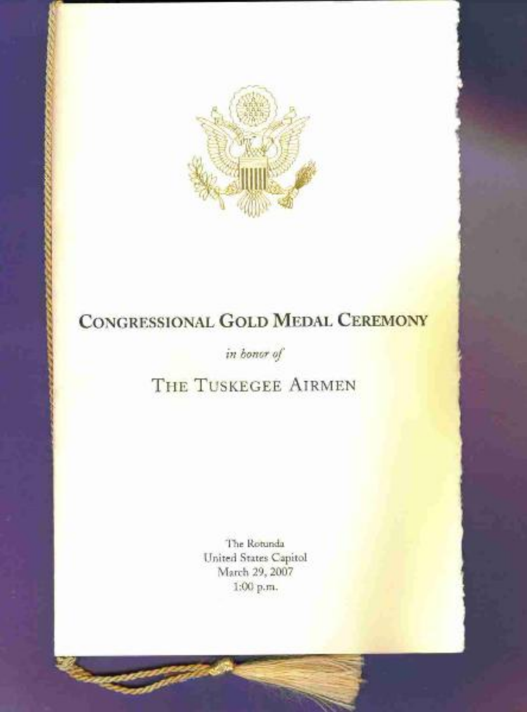

# CONGRESSIONAL GOLD MEDAL CEREMONY

in bonor of

# THE TUSKEGEE AIRMEN

The Rotunda United States Capitol March 29, 2007 1:00 p.m.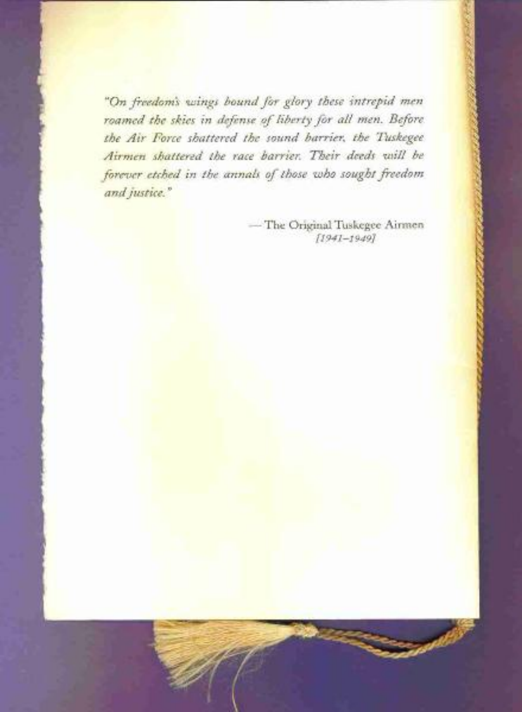"On freedom's wings bound for glory these intrepid men roamed the skies in defense of liberty for all men. Before the Air Force shattered the sound barrier, the Tuskegee Airmen shattered the race barrier. Their deeds will be forever etched in the annals of those who sought freedom and justice."

> -The Original Tuskegee Airmen  $[1941 - 1949]$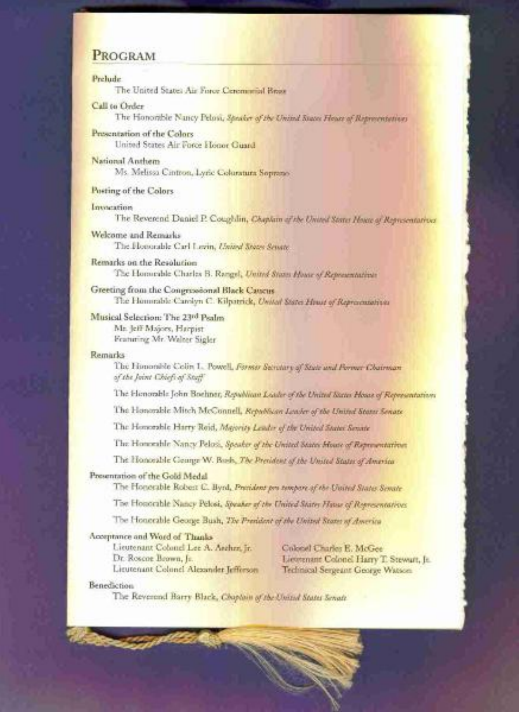# PROGRAM

## Prehude

The United States Air Force Ceremonial Brook

Call to Order

The Honorthie Nancy Pelosi, Speaker of the United States Flowe of Representations

- Presentation of the Colors United States Air Force Honor Guard
- National Anthem Ms. Melissa Cintron, Lyric Columnara Soprano'

Posting of the Colors

Invaration

The Reverend Daniel P. Coughlin, Chaplain of the United States House of Representatives

- Welcome and Remarks The Homorable Carl Lovin, United States Senate.
- Remarks on the Resolution The Homicible Charles B. Rangel, United States House of Representatives
- Greeting from the Congressional Black Caucus The Hommide Carolyn C. Kilpatrick, United States Houst of Representatives

Musical Selection: The 23rd Psalm Mr. Jeff Majors, Harpist Framming Mr. Walter Sigler

# **Remarks**

The Homorable Colin L. Powell, Forms Secretary of State and Pornur Chairman of the Joint Chiefs of Staff

The Henorable John Boehner, Republican Leader of the United States House of Representations

The Honorable Mitch McConnell, Republican Leader of the United States Senate

The Homorshie Harry Roid, Majority Leader of the United States Senate

The Homewhle Nancy Pelosi, Speaker of the United States Moute of Representations

The Homosable George W. Bosh, The President of the United States of America

## Presentation of the Gold Medal

The Honorable Robert C. Byrd, President pro tempore of the United States Senate

The Homerable Nancy Pelosi, Speaker of the United States Hawe of Representatives

The Honceable George Bush, The President of the United States of America

### Acceptance and Word of Thanks

Lieutenant Colonel Lee A. Ascher, Jr. Dr. Roscoe Brown, Jr. Lieutenant Colonel Alexander Jefferson

Coloral Charles E. McGee Lievenant Colonel Harry T. Stewart, Jr. Technical Sergeant George Watson.

### Benediction

The Reverend Barry Black, Chaptain of the United States Senate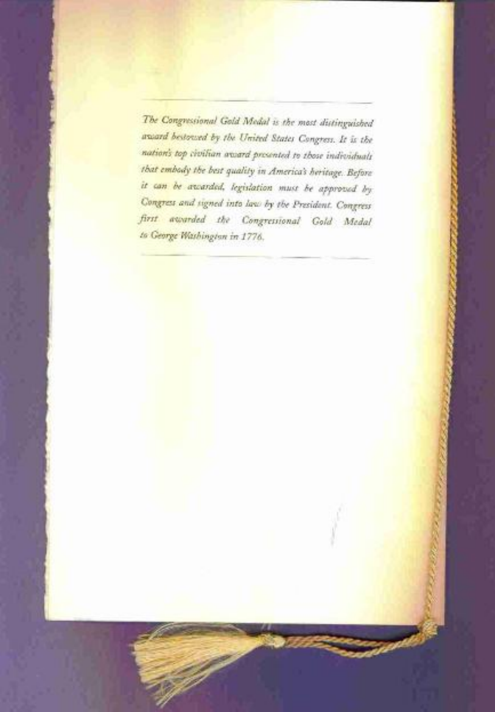The Congressional Gold Medal is the most distinguished award bestowed by the United States Congress. It is the nation's top civilian award presented to those individuals that embody the best quality in America's heritage. Before it can be awarded, legislation must be approved by Congress and signed into law by the President. Congress first awarded the Congressional Gold Medal to George Washington in 1776.